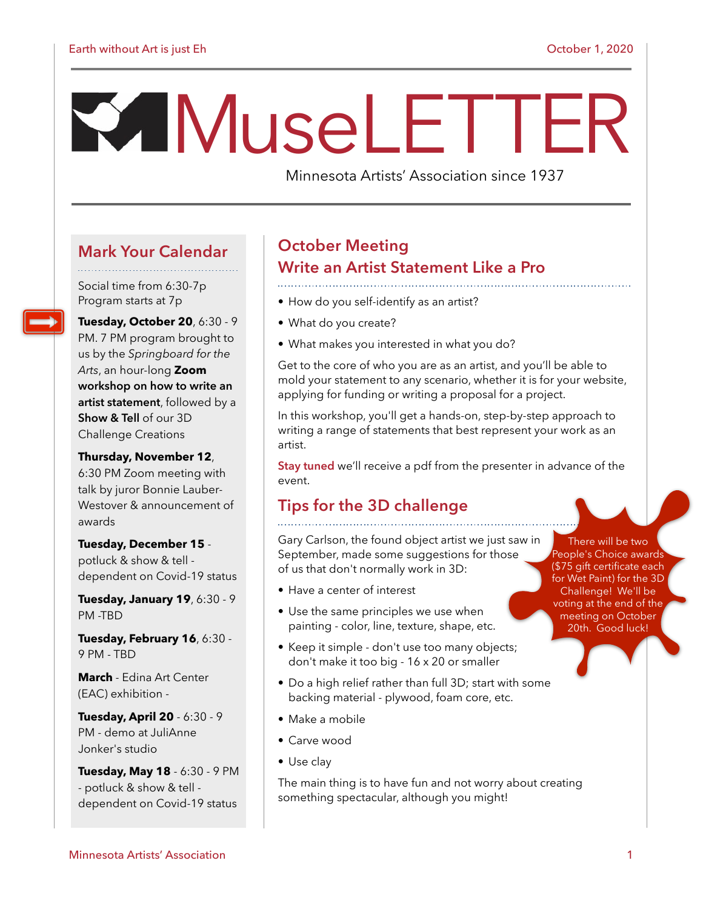# M useLETTER

Minnesota Artists' Association since 1937

# **Mark Your Calendar**

Social time from 6:30-7p Program starts at 7p

**Tuesday, October 20**, 6:30 - 9 PM. 7 PM program brought to us by the *Springboard for the Arts*, an hour-long **Zoom workshop on how to write an artist statement**, followed by a **Show & Tell** of our 3D Challenge Creations

#### **Thursday, November 12**,

6:30 PM Zoom meeting with talk by juror Bonnie Lauber-Westover & announcement of awards

**Tuesday, December 15**  potluck & show & tell dependent on Covid-19 status

**Tuesday, January 19**, 6:30 - 9 PM -TBD

**Tuesday, February 16**, 6:30 - 9 PM - TBD

**March** - Edina Art Center (EAC) exhibition -

**Tuesday, April 20** - 6:30 - 9 PM - demo at JuliAnne Jonker's studio

**Tuesday, May 18** - 6:30 - 9 PM - potluck & show & tell dependent on Covid-19 status

# **October Meeting Write an Artist Statement Like a Pro**

- How do you self-identify as an artist?
- What do you create?
- What makes you interested in what you do?

Get to the core of who you are as an artist, and you'll be able to mold your statement to any scenario, whether it is for your website, applying for funding or writing a proposal for a project.

In this workshop, you'll get a hands-on, step-by-step approach to writing a range of statements that best represent your work as an artist.

**Stay tuned** we'll receive a pdf from the presenter in advance of the event.

# **Tips for the 3D challenge**

Gary Carlson, the found object artist we just saw in September, made some suggestions for those of us that don't normally work in 3D:

- Have a center of interest
- Use the same principles we use when painting - color, line, texture, shape, etc.
- Keep it simple don't use too many objects; don't make it too big - 16 x 20 or smaller
- Do a high relief rather than full 3D; start with some backing material - plywood, foam core, etc.
- Make a mobile
- Carve wood
- Use clay

The main thing is to have fun and not worry about creating something spectacular, although you might!

There will be two People's Choice awards (\$75 gift certificate each for Wet Paint) for the 3D Challenge! We'll be voting at the end of the meeting on October 20th. Good luck!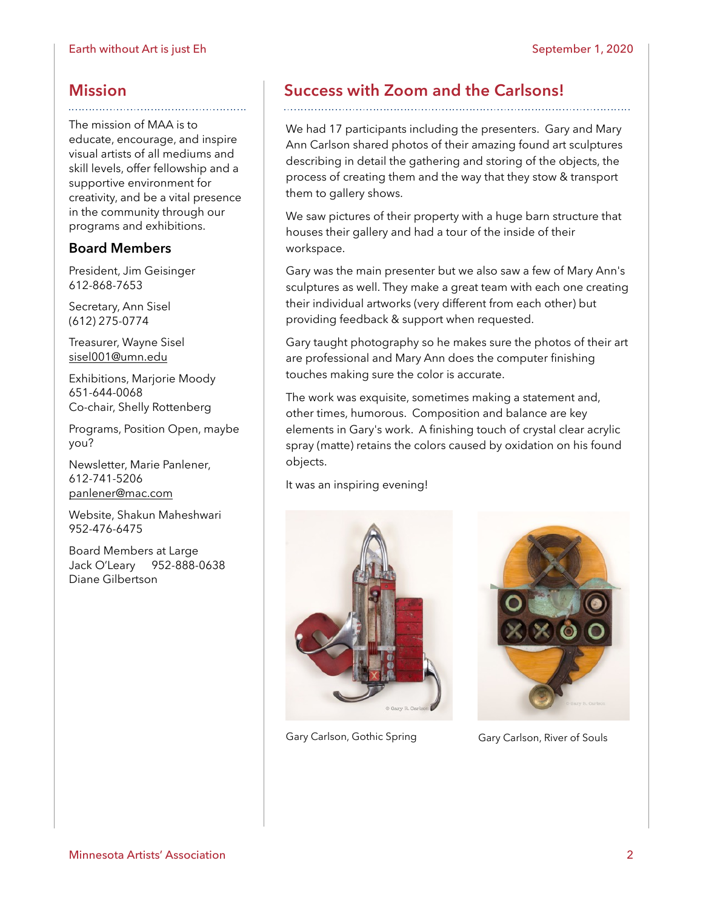# **Mission**

The mission of MAA is to educate, encourage, and inspire visual artists of all mediums and skill levels, offer fellowship and a supportive environment for creativity, and be a vital presence in the community through our programs and exhibitions.

# **Board Members**

President, Jim Geisinger 612-868-7653

Secretary, Ann Sisel (612) 275-0774

Treasurer, Wayne Sisel [sisel001@umn.edu](mailto:sisel001@umn.edu)

Exhibitions, Marjorie Moody 651-644-0068 Co-chair, Shelly Rottenberg

Programs, Position Open, maybe you?

Newsletter, Marie Panlener, 612-741-5206 [panlener@mac.com](mailto:panlener@mac.com)

Website, Shakun Maheshwari 952-476-6475

Board Members at Large Jack O'Leary 952-888-0638 Diane Gilbertson

# **Success with Zoom and the Carlsons!**

We had 17 participants including the presenters. Gary and Mary Ann Carlson shared photos of their amazing found art sculptures describing in detail the gathering and storing of the objects, the process of creating them and the way that they stow & transport them to gallery shows.

We saw pictures of their property with a huge barn structure that houses their gallery and had a tour of the inside of their workspace.

Gary was the main presenter but we also saw a few of Mary Ann's sculptures as well. They make a great team with each one creating their individual artworks (very different from each other) but providing feedback & support when requested.

Gary taught photography so he makes sure the photos of their art are professional and Mary Ann does the computer finishing touches making sure the color is accurate.

The work was exquisite, sometimes making a statement and, other times, humorous. Composition and balance are key elements in Gary's work. A finishing touch of crystal clear acrylic spray (matte) retains the colors caused by oxidation on his found objects.

It was an inspiring evening!



Gary Carlson, Gothic Spring Gary Carlson, River of Souls

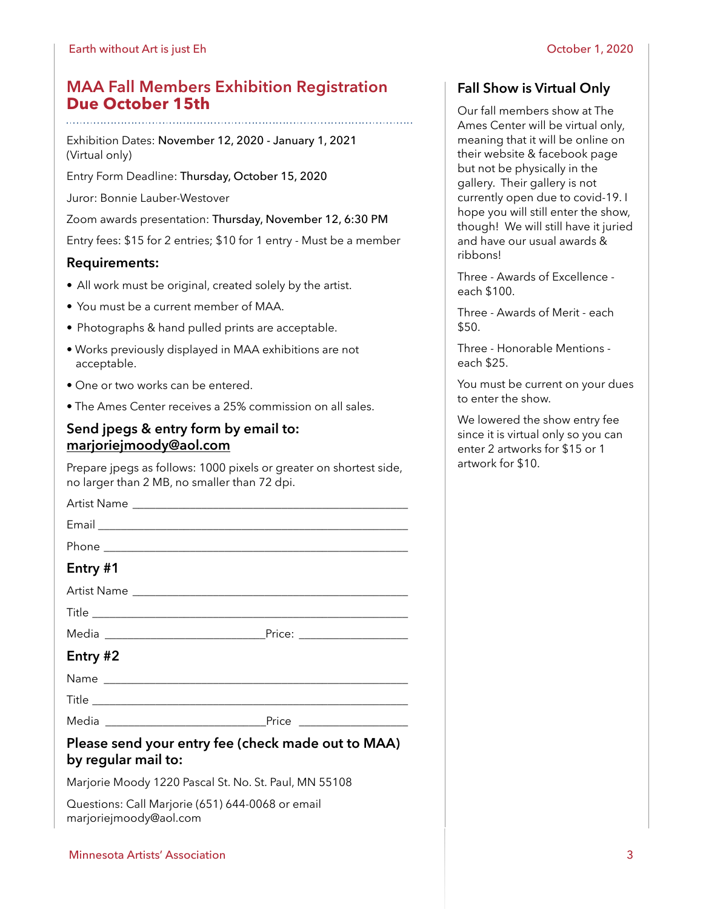# **MAA Fall Members Exhibition Registration Due October 15th**

Exhibition Dates: November 12, 2020 - January 1, 2021 (Virtual only)

Entry Form Deadline: Thursday, October 15, 2020

Juror: Bonnie Lauber-Westover

Zoom awards presentation: Thursday, November 12, 6:30 PM

Entry fees: \$15 for 2 entries; \$10 for 1 entry - Must be a member

## **Requirements:**

- All work must be original, created solely by the artist.
- You must be a current member of MAA.
- Photographs & hand pulled prints are acceptable.
- Works previously displayed in MAA exhibitions are not acceptable.
- One or two works can be entered.
- The Ames Center receives a 25% commission on all sales.

# **Send jpegs & entry form by email to: [marjoriejmoody@aol.com](mailto:marjoriejmoody@aol.com)**

Prepare jpegs as follows: 1000 pixels or greater on shortest side, no larger than 2 MB, no smaller than 72 dpi.

| Entry #1 |                                                                                                                                          |
|----------|------------------------------------------------------------------------------------------------------------------------------------------|
|          |                                                                                                                                          |
|          |                                                                                                                                          |
|          |                                                                                                                                          |
| Entry #2 |                                                                                                                                          |
|          |                                                                                                                                          |
|          |                                                                                                                                          |
|          |                                                                                                                                          |
|          | $D_{\text{max}}$ and $\alpha$ are a set of $f_{\text{max}}$ (and $f_{\text{max}}$ and $\alpha$ and $f_{\text{max}}$ and $f_{\text{max}}$ |

### **Please send your entry fee (check made out to MAA) by regular mail to:**

Marjorie Moody 1220 Pascal St. No. St. Paul, MN 55108

Questions: Call Marjorie (651) 644-0068 or email marjoriejmoody@aol.com

#### Minnesota Artists' Association 3

# **Fall Show is Virtual Only**

Our fall members show at The Ames Center will be virtual only, meaning that it will be online on their website & facebook page but not be physically in the gallery. Their gallery is not currently open due to covid-19. I hope you will still enter the show, though! We will still have it juried and have our usual awards & ribbons!

Three - Awards of Excellence each \$100.

Three - Awards of Merit - each \$50.

Three - Honorable Mentions each \$25.

You must be current on your dues to enter the show.

We lowered the show entry fee since it is virtual only so you can enter 2 artworks for \$15 or 1 artwork for \$10.